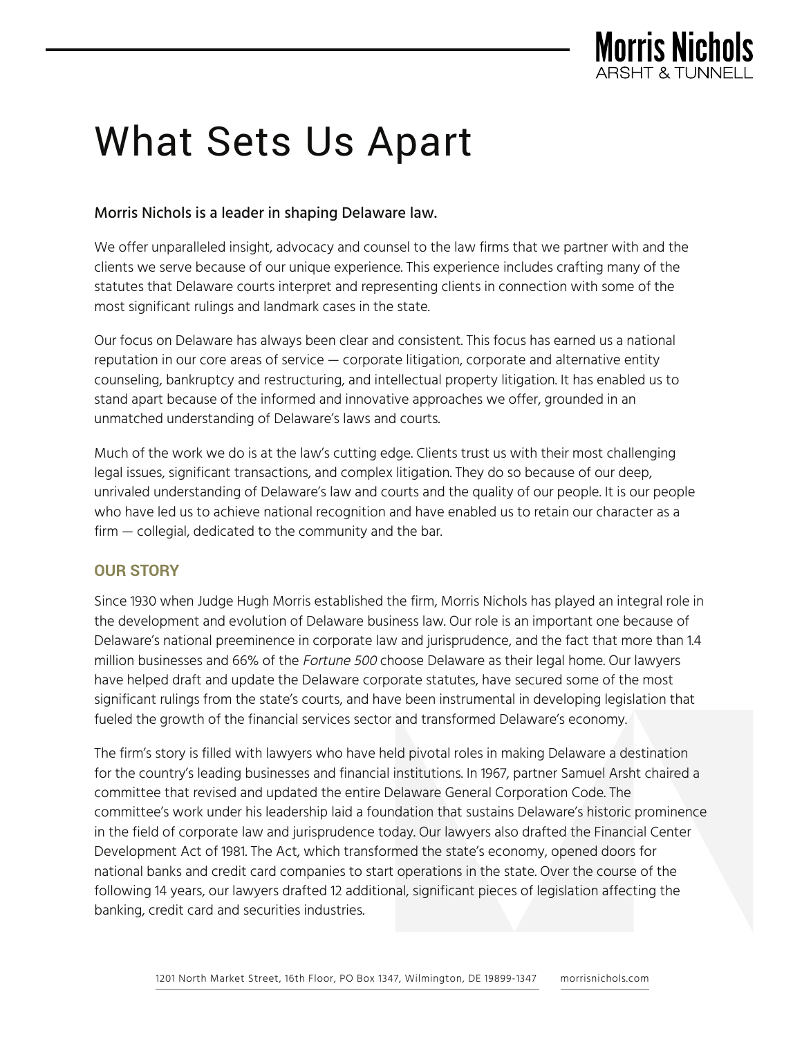

# What Sets Us Apart

### Morris Nichols is a leader in shaping Delaware law.

We offer unparalleled insight, advocacy and counsel to the law firms that we partner with and the clients we serve because of our unique experience. This experience includes crafting many of the statutes that Delaware courts interpret and representing clients in connection with some of the most significant rulings and landmark cases in the state.

Our focus on Delaware has always been clear and consistent. This focus has earned us a national reputation in our core areas of service — corporate litigation, corporate and alternative entity counseling, bankruptcy and restructuring, and intellectual property litigation. It has enabled us to stand apart because of the informed and innovative approaches we offer, grounded in an unmatched understanding of Delaware's laws and courts.

Much of the work we do is at the law's cutting edge. Clients trust us with their most challenging legal issues, significant transactions, and complex litigation. They do so because of our deep, unrivaled understanding of Delaware's law and courts and the quality of our people. It is our people who have led us to achieve national recognition and have enabled us to retain our character as a firm — collegial, dedicated to the community and the bar.

#### **OUR STORY**

Since 1930 when Judge Hugh Morris established the firm, Morris Nichols has played an integral role in the development and evolution of Delaware business law. Our role is an important one because of Delaware's national preeminence in corporate law and jurisprudence, and the fact that more than 1.4 million businesses and 66% of the *Fortune 500* choose Delaware as their legal home. Our lawyers have helped draft and update the Delaware corporate statutes, have secured some of the most significant rulings from the state's courts, and have been instrumental in developing legislation that fueled the growth of the financial services sector and transformed Delaware's economy.

The firm's story is filled with lawyers who have held pivotal roles in making Delaware a destination for the country's leading businesses and financial institutions. In 1967, partner Samuel Arsht chaired a committee that revised and updated the entire Delaware General Corporation Code. The committee's work under his leadership laid a foundation that sustains Delaware's historic prominence in the field of corporate law and jurisprudence today. Our lawyers also drafted the Financial Center Development Act of 1981. The Act, which transformed the state's economy, opened doors for national banks and credit card companies to start operations in the state. Over the course of the following 14 years, our lawyers drafted 12 additional, significant pieces of legislation affecting the banking, credit card and securities industries.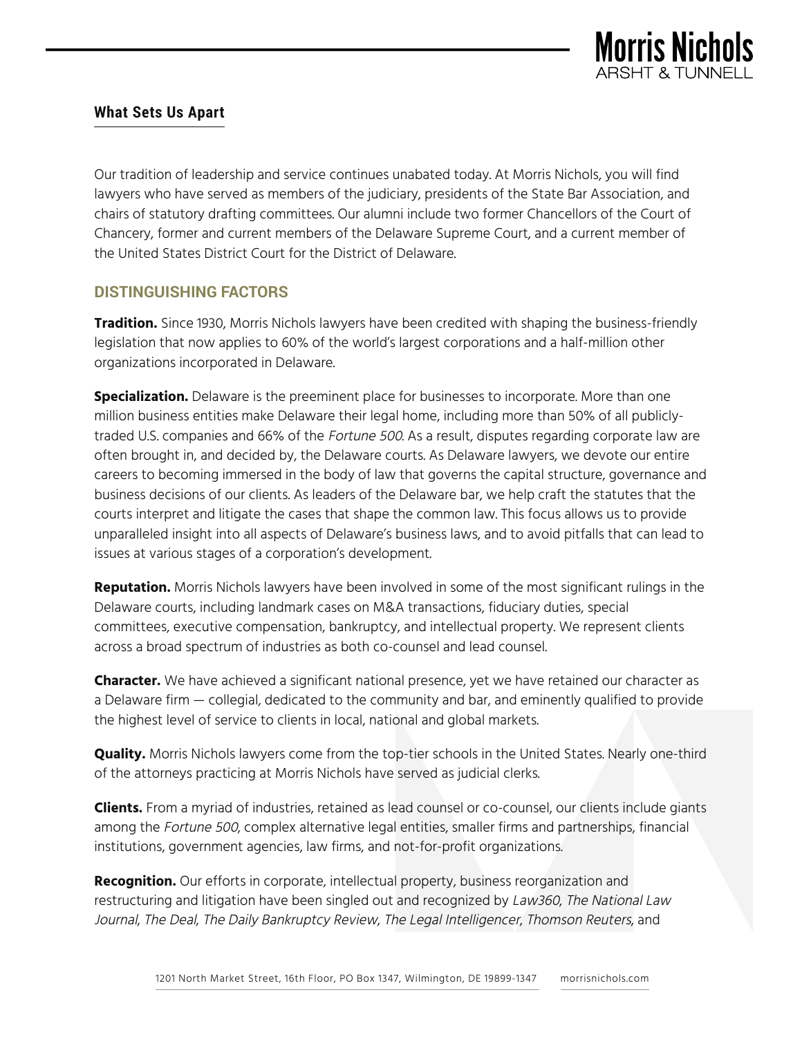

#### **What Sets Us Apart**

Our tradition of leadership and service continues unabated today. At Morris Nichols, you will find lawyers who have served as members of the judiciary, presidents of the State Bar Association, and chairs of statutory drafting committees. Our alumni include two former Chancellors of the Court of Chancery, former and current members of the Delaware Supreme Court, and a current member of the United States District Court for the District of Delaware.

## **DISTINGUISHING FACTORS**

**Tradition.** Since 1930, Morris Nichols lawyers have been credited with shaping the business-friendly legislation that now applies to 60% of the world's largest corporations and a half-million other organizations incorporated in Delaware.

**Specialization.** Delaware is the preeminent place for businesses to incorporate. More than one million business entities make Delaware their legal home, including more than 50% of all publiclytraded U.S. companies and 66% of the *Fortune 500*. As a result, disputes regarding corporate law are often brought in, and decided by, the Delaware courts. As Delaware lawyers, we devote our entire careers to becoming immersed in the body of law that governs the capital structure, governance and business decisions of our clients. As leaders of the Delaware bar, we help craft the statutes that the courts interpret and litigate the cases that shape the common law. This focus allows us to provide unparalleled insight into all aspects of Delaware's business laws, and to avoid pitfalls that can lead to issues at various stages of a corporation's development.

**Reputation.** Morris Nichols lawyers have been involved in some of the most significant rulings in the Delaware courts, including landmark cases on M&A transactions, fiduciary duties, special committees, executive compensation, bankruptcy, and intellectual property. We represent clients across a broad spectrum of industries as both co-counsel and lead counsel.

**Character.** We have achieved a significant national presence, yet we have retained our character as a Delaware firm — collegial, dedicated to the community and bar, and eminently qualified to provide the highest level of service to clients in local, national and global markets.

**Quality.** Morris Nichols lawyers come from the top-tier schools in the United States. Nearly one-third of the attorneys practicing at Morris Nichols have served as judicial clerks.

**Clients.** From a myriad of industries, retained as lead counsel or co-counsel, our clients include giants among the Fortune 500, complex alternative legal entities, smaller firms and partnerships, financial institutions, government agencies, law firms, and not-for-profit organizations.

**Recognition.** Our efforts in corporate, intellectual property, business reorganization and restructuring and litigation have been singled out and recognized by Law360, The National Law Journal, The Deal, The Daily Bankruptcy Review, The Legal Intelligencer, Thomson Reuters, and